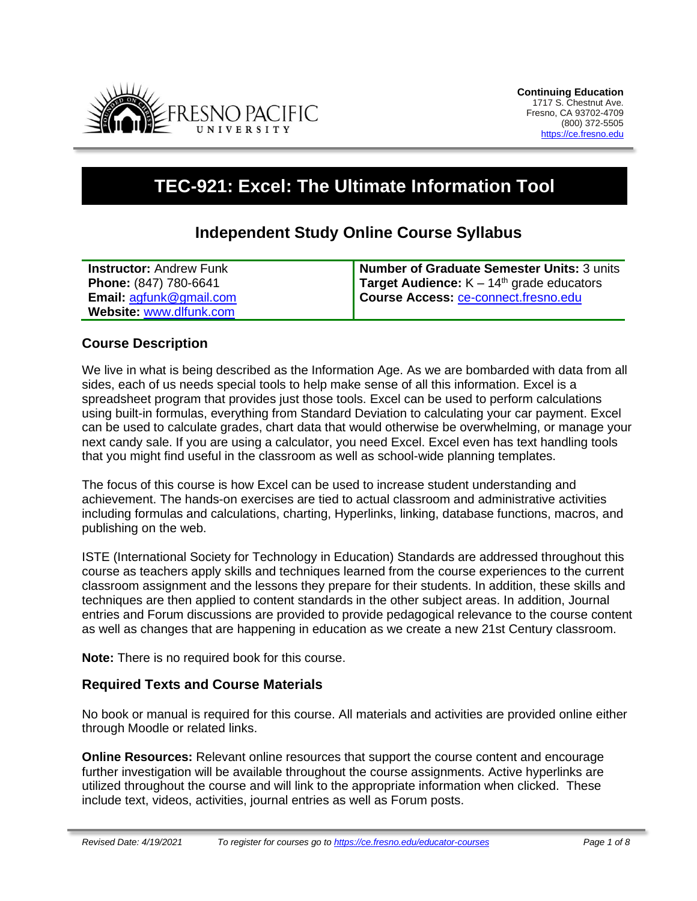

# **TEC-921: Excel: The Ultimate Information Tool**

## **Independent Study Online Course Syllabus**

| <b>Instructor: Andrew Funk</b>                  | Number of Graduate Semester Units: 3 units         |
|-------------------------------------------------|----------------------------------------------------|
| <b>Phone: (847) 780-6641</b>                    | <b>Target Audience:</b> $K - 14th$ grade educators |
| <b>Email:</b> $\operatorname{agfunk@gmail.com}$ | Course Access: ce-connect.fresno.edu               |
| Website: www.dlfunk.com                         |                                                    |

#### **Course Description**

We live in what is being described as the Information Age. As we are bombarded with data from all sides, each of us needs special tools to help make sense of all this information. Excel is a spreadsheet program that provides just those tools. Excel can be used to perform calculations using built-in formulas, everything from Standard Deviation to calculating your car payment. Excel can be used to calculate grades, chart data that would otherwise be overwhelming, or manage your next candy sale. If you are using a calculator, you need Excel. Excel even has text handling tools that you might find useful in the classroom as well as school-wide planning templates.

The focus of this course is how Excel can be used to increase student understanding and achievement. The hands-on exercises are tied to actual classroom and administrative activities including formulas and calculations, charting, Hyperlinks, linking, database functions, macros, and publishing on the web.

ISTE (International Society for Technology in Education) Standards are addressed throughout this course as teachers apply skills and techniques learned from the course experiences to the current classroom assignment and the lessons they prepare for their students. In addition, these skills and techniques are then applied to content standards in the other subject areas. In addition, Journal entries and Forum discussions are provided to provide pedagogical relevance to the course content as well as changes that are happening in education as we create a new 21st Century classroom.

**Note:** There is no required book for this course.

## **Required Texts and Course Materials**

No book or manual is required for this course. All materials and activities are provided online either through Moodle or related links.

**Online Resources:** Relevant online resources that support the course content and encourage further investigation will be available throughout the course assignments. Active hyperlinks are utilized throughout the course and will link to the appropriate information when clicked. These include text, videos, activities, journal entries as well as Forum posts.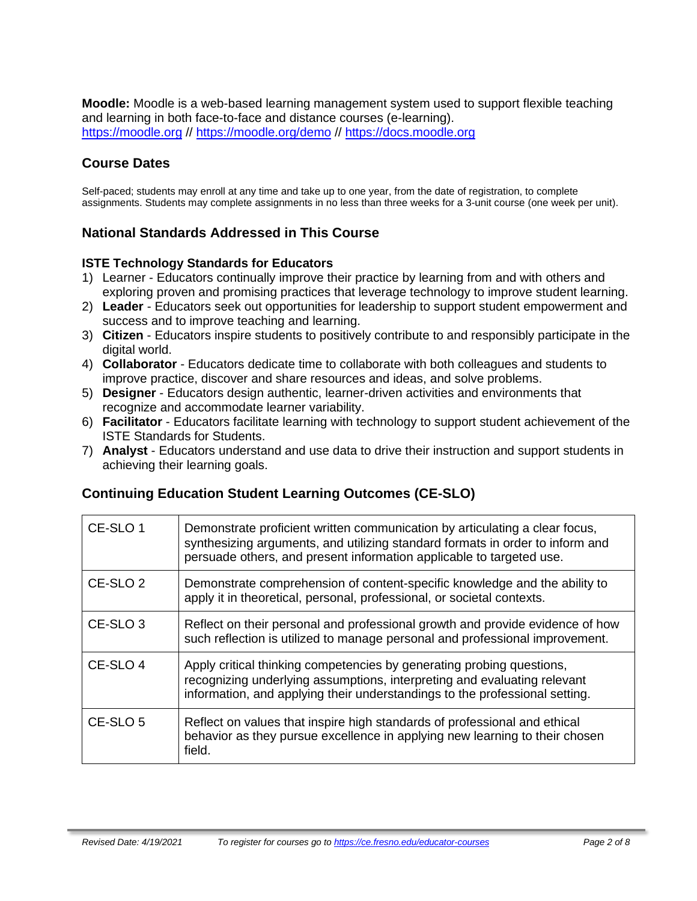**Moodle:** Moodle is a web-based learning management system used to support flexible teaching and learning in both face-to-face and distance courses (e-learning). [https://moodle.org](https://moodle.org/) // <https://moodle.org/demo> // [https://docs.moodle.org](https://docs.moodle.org/)

## **Course Dates**

Self-paced; students may enroll at any time and take up to one year, from the date of registration, to complete assignments. Students may complete assignments in no less than three weeks for a 3-unit course (one week per unit).

## **National Standards Addressed in This Course**

#### **ISTE Technology Standards for Educators**

- 1) Learner Educators continually improve their practice by learning from and with others and exploring proven and promising practices that leverage technology to improve student learning.
- 2) **Leader** Educators seek out opportunities for leadership to support student empowerment and success and to improve teaching and learning.
- 3) **Citizen** Educators inspire students to positively contribute to and responsibly participate in the digital world.
- 4) **Collaborator** Educators dedicate time to collaborate with both colleagues and students to improve practice, discover and share resources and ideas, and solve problems.
- 5) **Designer** Educators design authentic, learner-driven activities and environments that recognize and accommodate learner variability.
- 6) **Facilitator** Educators facilitate learning with technology to support student achievement of the ISTE Standards for Students.
- 7) **Analyst** Educators understand and use data to drive their instruction and support students in achieving their learning goals.

## **Continuing Education Student Learning Outcomes (CE-SLO)**

| CE-SLO 1            | Demonstrate proficient written communication by articulating a clear focus,<br>synthesizing arguments, and utilizing standard formats in order to inform and<br>persuade others, and present information applicable to targeted use. |
|---------------------|--------------------------------------------------------------------------------------------------------------------------------------------------------------------------------------------------------------------------------------|
| CE-SLO <sub>2</sub> | Demonstrate comprehension of content-specific knowledge and the ability to<br>apply it in theoretical, personal, professional, or societal contexts.                                                                                 |
| CE-SLO <sub>3</sub> | Reflect on their personal and professional growth and provide evidence of how<br>such reflection is utilized to manage personal and professional improvement.                                                                        |
| CE-SLO 4            | Apply critical thinking competencies by generating probing questions,<br>recognizing underlying assumptions, interpreting and evaluating relevant<br>information, and applying their understandings to the professional setting.     |
| CE-SLO <sub>5</sub> | Reflect on values that inspire high standards of professional and ethical<br>behavior as they pursue excellence in applying new learning to their chosen<br>field.                                                                   |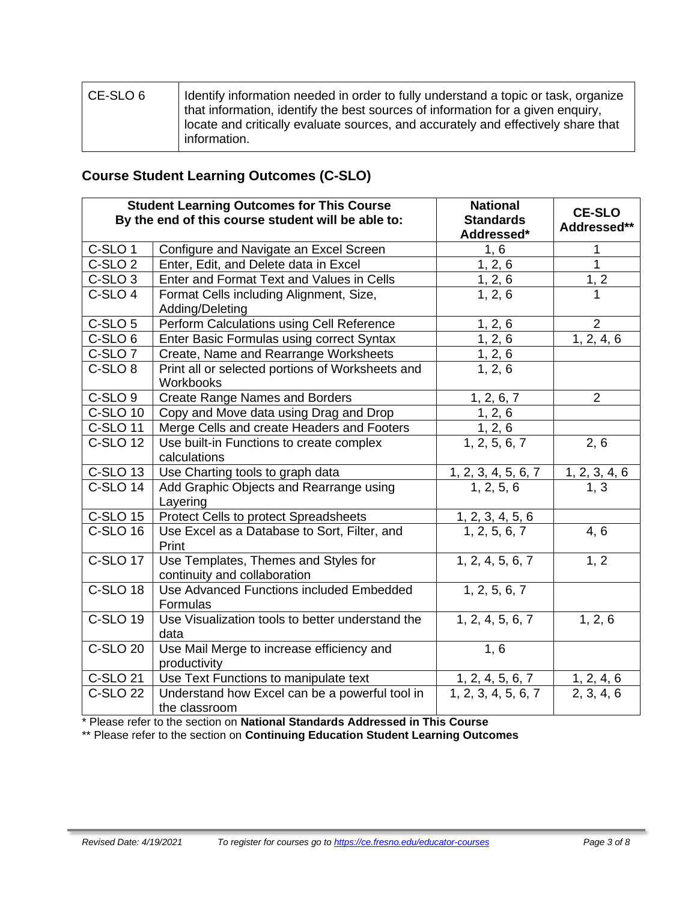| l CE-SLO 6 | I Identify information needed in order to fully understand a topic or task, organize                                                                                 |
|------------|----------------------------------------------------------------------------------------------------------------------------------------------------------------------|
|            | that information, identify the best sources of information for a given enguiry,<br>locate and critically evaluate sources, and accurately and effectively share that |
|            | information.                                                                                                                                                         |

## **Course Student Learning Outcomes (C-SLO)**

| <b>Student Learning Outcomes for This Course</b><br>By the end of this course student will be able to: |                                                                                                     | <b>National</b><br><b>Standards</b><br>Addressed* | <b>CE-SLO</b><br>Addressed**    |
|--------------------------------------------------------------------------------------------------------|-----------------------------------------------------------------------------------------------------|---------------------------------------------------|---------------------------------|
| C-SLO <sub>1</sub>                                                                                     | Configure and Navigate an Excel Screen                                                              | 1, 6                                              | 1                               |
| $\overline{C}$ -SLO 2                                                                                  | Enter, Edit, and Delete data in Excel                                                               | 1, 2, 6                                           | $\overline{1}$                  |
| C-SLO <sub>3</sub>                                                                                     | Enter and Format Text and Values in Cells                                                           |                                                   | $\frac{1, 2}{1}$                |
| C-SLO <sub>4</sub>                                                                                     | Format Cells including Alignment, Size,<br>Adding/Deleting                                          | $\frac{1, 2, 6}{1, 2, 6}$                         |                                 |
| C-SLO <sub>5</sub>                                                                                     | Perform Calculations using Cell Reference                                                           | 1, 2, 6                                           | $\overline{2}$                  |
| $\overline{C}$ -SLO 6                                                                                  | Enter Basic Formulas using correct Syntax                                                           | 1, 2, 6                                           | 1, 2, 4, 6                      |
| C-SLO <sub>7</sub>                                                                                     | Create, Name and Rearrange Worksheets                                                               | $\overline{\frac{1,2,6}{1,2,6}}$                  |                                 |
| C-SLO <sub>8</sub>                                                                                     | Print all or selected portions of Worksheets and<br>Workbooks                                       |                                                   |                                 |
| C-SLO <sub>9</sub>                                                                                     | <b>Create Range Names and Borders</b>                                                               | 1, 2, 6, 7                                        | $\overline{2}$                  |
| <b>C-SLO 10</b>                                                                                        | Copy and Move data using Drag and Drop                                                              | 1, 2, 6                                           |                                 |
| <b>C-SLO 11</b>                                                                                        | Merge Cells and create Headers and Footers                                                          |                                                   |                                 |
| <b>C-SLO 12</b>                                                                                        | $\frac{1, 2, 6}{1, 2, 5, 6, 7}$<br>2, 6<br>Use built-in Functions to create complex<br>calculations |                                                   |                                 |
| <b>C-SLO 13</b>                                                                                        | Use Charting tools to graph data                                                                    | $\frac{1, 2, 3, 4, 5, 6, 7}{1, 2, 5, 6}$          | $\frac{1, 2, 3, 4, 6}{1, 3}$    |
| C-SLO 14                                                                                               | Add Graphic Objects and Rearrange using<br>Layering                                                 |                                                   |                                 |
| C-SLO 15                                                                                               | Protect Cells to protect Spreadsheets                                                               | $\frac{1, 2, 3, 4, 5, 6}{1, 2, 5, 6, 7}$          |                                 |
| C-SLO 16                                                                                               | Use Excel as a Database to Sort, Filter, and<br>Print                                               |                                                   | 4, 6                            |
| <b>C-SLO 17</b>                                                                                        | Use Templates, Themes and Styles for<br>continuity and collaboration                                | 1, 2, 4, 5, 6, 7                                  | 1, 2                            |
| <b>C-SLO 18</b>                                                                                        | Use Advanced Functions included Embedded<br>Formulas                                                | 1, 2, 5, 6, 7                                     |                                 |
| C-SLO 19                                                                                               | Use Visualization tools to better understand the<br>data                                            | 1, 2, 4, 5, 6, 7                                  | 1, 2, 6                         |
| <b>C-SLO 20</b>                                                                                        | Use Mail Merge to increase efficiency and<br>productivity                                           | 1, 6                                              |                                 |
| C-SLO 21                                                                                               | Use Text Functions to manipulate text                                                               |                                                   |                                 |
| <b>C-SLO 22</b>                                                                                        | Understand how Excel can be a powerful tool in<br>the classroom                                     | $1, 2, 4, 5, 6, 7$<br>1, 2, 3, 4, 5, 6, 7         | $\frac{1, 2, 4, 6}{2, 3, 4, 6}$ |

\* Please refer to the section on **National Standards Addressed in This Course**

\*\* Please refer to the section on **Continuing Education Student Learning Outcomes**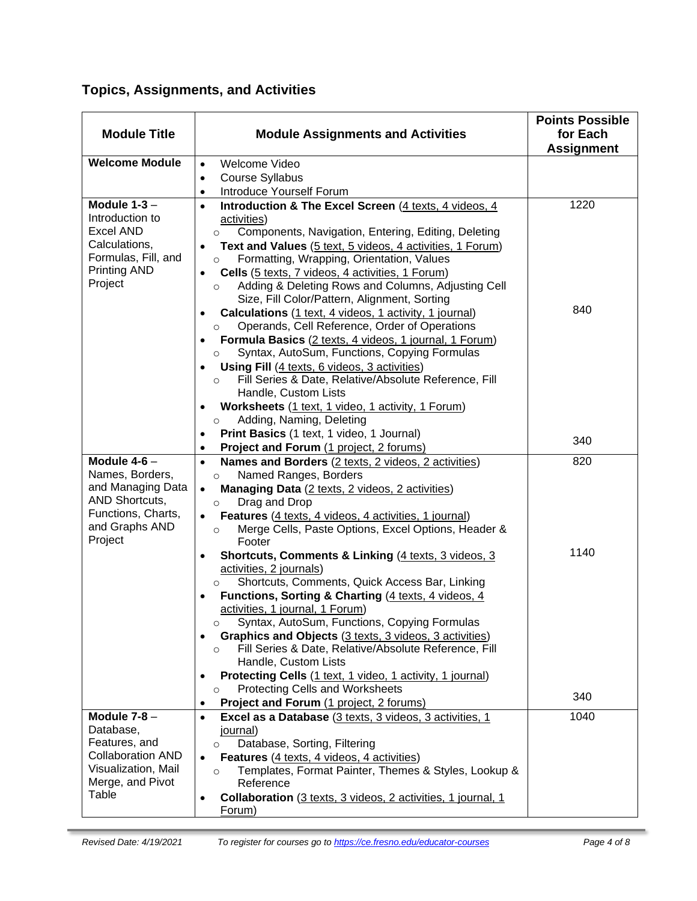|  | <b>Topics, Assignments, and Activities</b> |  |  |
|--|--------------------------------------------|--|--|
|--|--------------------------------------------|--|--|

| <b>Module Title</b>                                                                                                             | <b>Module Assignments and Activities</b>                                                                                                                                                                                                                                                                                                                                                                                                                                                                                                                                                                                                                                                                                                                                                                                                                                                                                                                             | <b>Points Possible</b><br>for Each<br><b>Assignment</b> |
|---------------------------------------------------------------------------------------------------------------------------------|----------------------------------------------------------------------------------------------------------------------------------------------------------------------------------------------------------------------------------------------------------------------------------------------------------------------------------------------------------------------------------------------------------------------------------------------------------------------------------------------------------------------------------------------------------------------------------------------------------------------------------------------------------------------------------------------------------------------------------------------------------------------------------------------------------------------------------------------------------------------------------------------------------------------------------------------------------------------|---------------------------------------------------------|
| <b>Welcome Module</b>                                                                                                           | Welcome Video<br>$\bullet$                                                                                                                                                                                                                                                                                                                                                                                                                                                                                                                                                                                                                                                                                                                                                                                                                                                                                                                                           |                                                         |
|                                                                                                                                 | <b>Course Syllabus</b><br>$\bullet$                                                                                                                                                                                                                                                                                                                                                                                                                                                                                                                                                                                                                                                                                                                                                                                                                                                                                                                                  |                                                         |
|                                                                                                                                 | Introduce Yourself Forum<br>$\bullet$                                                                                                                                                                                                                                                                                                                                                                                                                                                                                                                                                                                                                                                                                                                                                                                                                                                                                                                                |                                                         |
| Module $1-3$ -<br>Introduction to<br><b>Excel AND</b><br>Calculations,<br>Formulas, Fill, and<br><b>Printing AND</b><br>Project | Introduction & The Excel Screen (4 texts, 4 videos, 4<br>$\bullet$<br>activities)<br>Components, Navigation, Entering, Editing, Deleting<br>$\circ$<br>Text and Values (5 text, 5 videos, 4 activities, 1 Forum)<br>$\bullet$<br>Formatting, Wrapping, Orientation, Values<br>$\circ$<br>Cells (5 texts, 7 videos, 4 activities, 1 Forum)<br>$\bullet$<br>Adding & Deleting Rows and Columns, Adjusting Cell<br>$\circ$<br>Size, Fill Color/Pattern, Alignment, Sorting<br>Calculations (1 text, 4 videos, 1 activity, 1 journal)<br>Operands, Cell Reference, Order of Operations<br>$\circ$<br>Formula Basics (2 texts, 4 videos, 1 journal, 1 Forum)<br>Syntax, AutoSum, Functions, Copying Formulas<br>$\circ$<br><b>Using Fill</b> (4 texts, 6 videos, 3 activities)<br>Fill Series & Date, Relative/Absolute Reference, Fill<br>$\circ$<br>Handle, Custom Lists                                                                                                | 1220<br>840                                             |
|                                                                                                                                 | Worksheets (1 text, 1 video, 1 activity, 1 Forum)<br>Adding, Naming, Deleting<br>$\circ$<br>Print Basics (1 text, 1 video, 1 Journal)                                                                                                                                                                                                                                                                                                                                                                                                                                                                                                                                                                                                                                                                                                                                                                                                                                | 340                                                     |
| Module $4-6$ -                                                                                                                  | Project and Forum (1 project, 2 forums)<br>$\bullet$<br>Names and Borders (2 texts, 2 videos, 2 activities)                                                                                                                                                                                                                                                                                                                                                                                                                                                                                                                                                                                                                                                                                                                                                                                                                                                          | 820                                                     |
| Names, Borders,<br>and Managing Data<br>AND Shortcuts,<br>Functions, Charts,<br>and Graphs AND<br>Project                       | Named Ranges, Borders<br>$\circ$<br>Managing Data (2 texts, 2 videos, 2 activities)<br>$\bullet$<br>Drag and Drop<br>$\circ$<br>Features (4 texts, 4 videos, 4 activities, 1 journal)<br>$\bullet$<br>Merge Cells, Paste Options, Excel Options, Header &<br>$\circ$<br>Footer<br><b>Shortcuts, Comments &amp; Linking (4 texts, 3 videos, 3</b><br>$\bullet$<br>activities, 2 journals)<br>Shortcuts, Comments, Quick Access Bar, Linking<br>$\circ$<br>Functions, Sorting & Charting (4 texts, 4 videos, 4<br>$\bullet$<br>activities, 1 journal, 1 Forum)<br>Syntax, AutoSum, Functions, Copying Formulas<br>$\circ$<br>Graphics and Objects (3 texts, 3 videos, 3 activities)<br>$\bullet$<br>Fill Series & Date, Relative/Absolute Reference, Fill<br>$\circ$<br>Handle, Custom Lists<br>Protecting Cells (1 text, 1 video, 1 activity, 1 journal)<br><b>Protecting Cells and Worksheets</b><br>$\circ$<br>Project and Forum (1 project, 2 forums)<br>$\bullet$ | 1140<br>340                                             |
| Module $7-8$ -                                                                                                                  | Excel as a Database (3 texts, 3 videos, 3 activities, 1<br>$\bullet$                                                                                                                                                                                                                                                                                                                                                                                                                                                                                                                                                                                                                                                                                                                                                                                                                                                                                                 | 1040                                                    |
| Database,<br>Features, and<br><b>Collaboration AND</b><br>Visualization, Mail<br>Merge, and Pivot<br>Table                      | journal)<br>Database, Sorting, Filtering<br>$\circ$<br>Features (4 texts, 4 videos, 4 activities)<br>$\bullet$<br>Templates, Format Painter, Themes & Styles, Lookup &<br>$\circ$<br>Reference<br>Collaboration (3 texts, 3 videos, 2 activities, 1 journal, 1<br>Forum)                                                                                                                                                                                                                                                                                                                                                                                                                                                                                                                                                                                                                                                                                             |                                                         |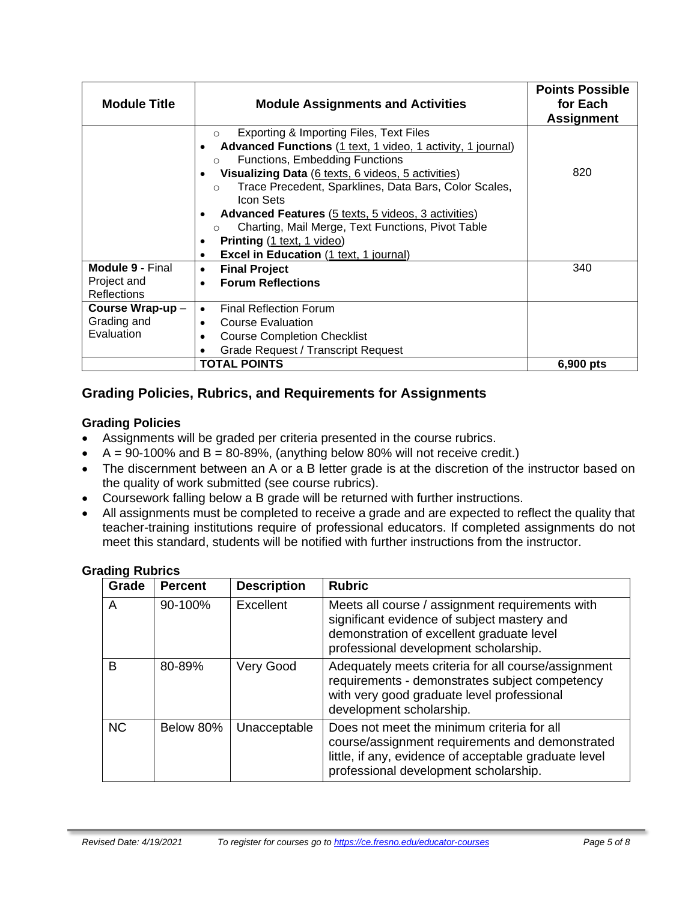| <b>Module Title</b>                                          | <b>Module Assignments and Activities</b>                                                                                                                                                                                                                                                                                                                                                                                                                             | <b>Points Possible</b><br>for Each<br><b>Assignment</b> |
|--------------------------------------------------------------|----------------------------------------------------------------------------------------------------------------------------------------------------------------------------------------------------------------------------------------------------------------------------------------------------------------------------------------------------------------------------------------------------------------------------------------------------------------------|---------------------------------------------------------|
|                                                              | Exporting & Importing Files, Text Files<br>$\circ$<br>Advanced Functions (1 text, 1 video, 1 activity, 1 journal)<br>Functions, Embedding Functions<br>$\Omega$<br>Visualizing Data (6 texts, 6 videos, 5 activities)<br>Trace Precedent, Sparklines, Data Bars, Color Scales,<br>$\Omega$<br>Icon Sets<br><b>Advanced Features</b> (5 texts, 5 videos, 3 activities)<br>Charting, Mail Merge, Text Functions, Pivot Table<br>$\Omega$<br>Printing (1 text, 1 video) | 820                                                     |
| <b>Module 9 - Final</b><br>Project and<br><b>Reflections</b> | <b>Excel in Education (1 text, 1 journal)</b><br>$\bullet$<br><b>Final Project</b><br>$\bullet$<br><b>Forum Reflections</b><br>$\bullet$                                                                                                                                                                                                                                                                                                                             | 340                                                     |
| Course Wrap-up-<br>Grading and<br>Evaluation                 | <b>Final Reflection Forum</b><br>$\bullet$<br><b>Course Evaluation</b><br>$\bullet$<br><b>Course Completion Checklist</b><br>٠<br>Grade Request / Transcript Request                                                                                                                                                                                                                                                                                                 |                                                         |
|                                                              | <b>TOTAL POINTS</b>                                                                                                                                                                                                                                                                                                                                                                                                                                                  | 6,900 pts                                               |

## **Grading Policies, Rubrics, and Requirements for Assignments**

#### **Grading Policies**

- Assignments will be graded per criteria presented in the course rubrics.
- $A = 90-100\%$  and  $B = 80-89\%$ , (anything below 80% will not receive credit.)
- The discernment between an A or a B letter grade is at the discretion of the instructor based on the quality of work submitted (see course rubrics).
- Coursework falling below a B grade will be returned with further instructions.
- All assignments must be completed to receive a grade and are expected to reflect the quality that teacher-training institutions require of professional educators. If completed assignments do not meet this standard, students will be notified with further instructions from the instructor.

| <b>Grading Rubrics</b> |  |
|------------------------|--|
|                        |  |

| Grade     | <b>Percent</b> | <b>Description</b> | <b>Rubric</b>                                                                                                                                                                                   |
|-----------|----------------|--------------------|-------------------------------------------------------------------------------------------------------------------------------------------------------------------------------------------------|
| A         | 90-100%        | Excellent          | Meets all course / assignment requirements with<br>significant evidence of subject mastery and<br>demonstration of excellent graduate level<br>professional development scholarship.            |
| B         | 80-89%         | Very Good          | Adequately meets criteria for all course/assignment<br>requirements - demonstrates subject competency<br>with very good graduate level professional<br>development scholarship.                 |
| <b>NC</b> | Below 80%      | Unacceptable       | Does not meet the minimum criteria for all<br>course/assignment requirements and demonstrated<br>little, if any, evidence of acceptable graduate level<br>professional development scholarship. |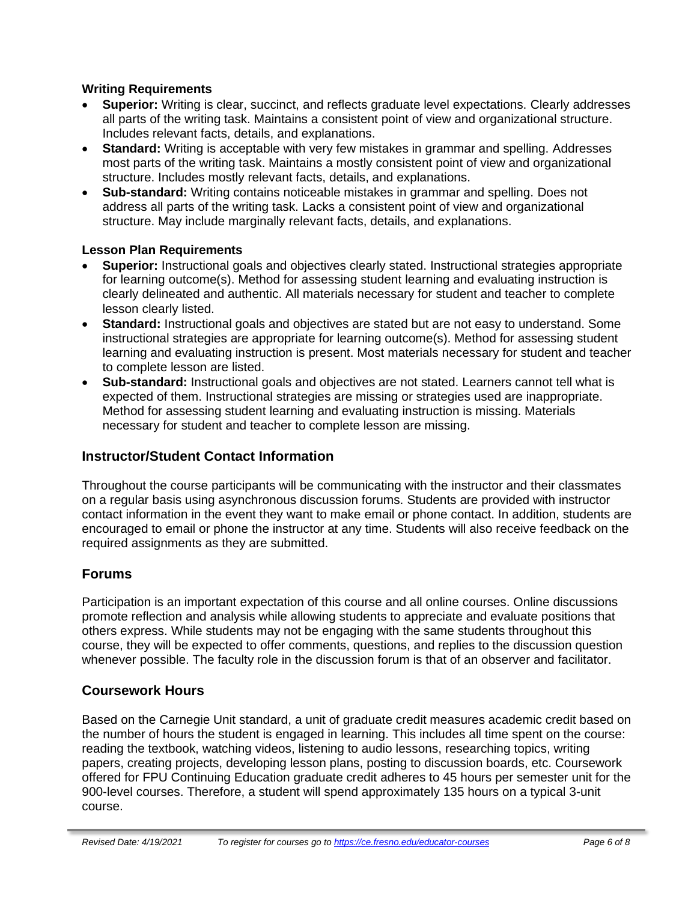#### **Writing Requirements**

- **Superior:** Writing is clear, succinct, and reflects graduate level expectations. Clearly addresses all parts of the writing task. Maintains a consistent point of view and organizational structure. Includes relevant facts, details, and explanations.
- **Standard:** Writing is acceptable with very few mistakes in grammar and spelling. Addresses most parts of the writing task. Maintains a mostly consistent point of view and organizational structure. Includes mostly relevant facts, details, and explanations.
- **Sub-standard:** Writing contains noticeable mistakes in grammar and spelling. Does not address all parts of the writing task. Lacks a consistent point of view and organizational structure. May include marginally relevant facts, details, and explanations.

#### **Lesson Plan Requirements**

- **Superior:** Instructional goals and objectives clearly stated. Instructional strategies appropriate for learning outcome(s). Method for assessing student learning and evaluating instruction is clearly delineated and authentic. All materials necessary for student and teacher to complete lesson clearly listed.
- **Standard:** Instructional goals and objectives are stated but are not easy to understand. Some instructional strategies are appropriate for learning outcome(s). Method for assessing student learning and evaluating instruction is present. Most materials necessary for student and teacher to complete lesson are listed.
- **Sub-standard:** Instructional goals and objectives are not stated. Learners cannot tell what is expected of them. Instructional strategies are missing or strategies used are inappropriate. Method for assessing student learning and evaluating instruction is missing. Materials necessary for student and teacher to complete lesson are missing.

## **Instructor/Student Contact Information**

Throughout the course participants will be communicating with the instructor and their classmates on a regular basis using asynchronous discussion forums. Students are provided with instructor contact information in the event they want to make email or phone contact. In addition, students are encouraged to email or phone the instructor at any time. Students will also receive feedback on the required assignments as they are submitted.

## **Forums**

Participation is an important expectation of this course and all online courses. Online discussions promote reflection and analysis while allowing students to appreciate and evaluate positions that others express. While students may not be engaging with the same students throughout this course, they will be expected to offer comments, questions, and replies to the discussion question whenever possible. The faculty role in the discussion forum is that of an observer and facilitator.

## **Coursework Hours**

Based on the Carnegie Unit standard, a unit of graduate credit measures academic credit based on the number of hours the student is engaged in learning. This includes all time spent on the course: reading the textbook, watching videos, listening to audio lessons, researching topics, writing papers, creating projects, developing lesson plans, posting to discussion boards, etc. Coursework offered for FPU Continuing Education graduate credit adheres to 45 hours per semester unit for the 900-level courses. Therefore, a student will spend approximately 135 hours on a typical 3-unit course.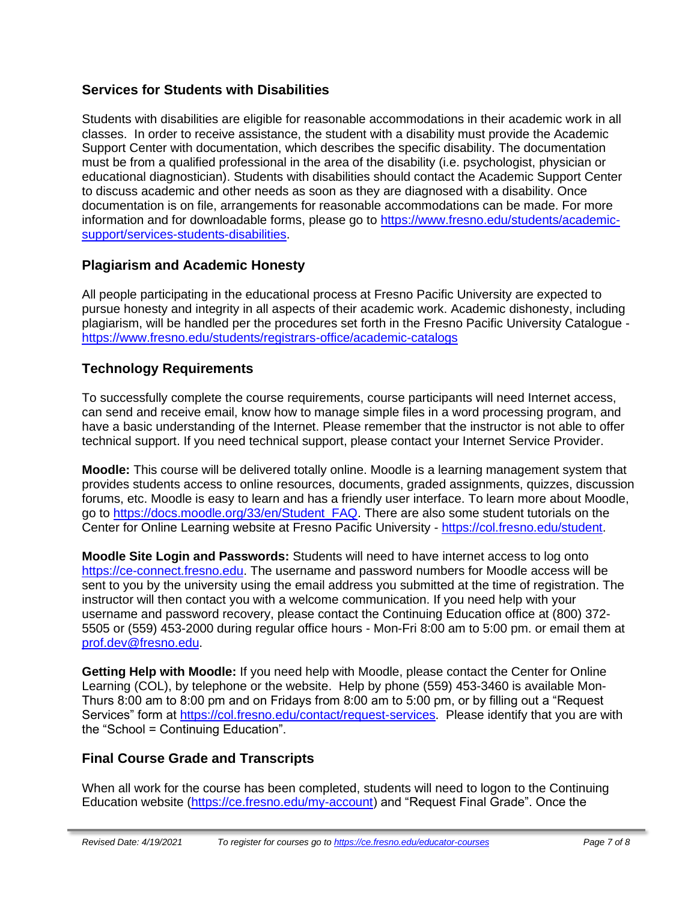## **Services for Students with Disabilities**

Students with disabilities are eligible for reasonable accommodations in their academic work in all classes. In order to receive assistance, the student with a disability must provide the Academic Support Center with documentation, which describes the specific disability. The documentation must be from a qualified professional in the area of the disability (i.e. psychologist, physician or educational diagnostician). Students with disabilities should contact the Academic Support Center to discuss academic and other needs as soon as they are diagnosed with a disability. Once documentation is on file, arrangements for reasonable accommodations can be made. For more information and for downloadable forms, please go to [https://www.fresno.edu/students/academic](https://www.fresno.edu/students/academic-support/services-students-disabilities)[support/services-students-disabilities.](https://www.fresno.edu/students/academic-support/services-students-disabilities)

## **Plagiarism and Academic Honesty**

All people participating in the educational process at Fresno Pacific University are expected to pursue honesty and integrity in all aspects of their academic work. Academic dishonesty, including plagiarism, will be handled per the procedures set forth in the Fresno Pacific University Catalogue <https://www.fresno.edu/students/registrars-office/academic-catalogs>

## **Technology Requirements**

To successfully complete the course requirements, course participants will need Internet access, can send and receive email, know how to manage simple files in a word processing program, and have a basic understanding of the Internet. Please remember that the instructor is not able to offer technical support. If you need technical support, please contact your Internet Service Provider.

**Moodle:** This course will be delivered totally online. Moodle is a learning management system that provides students access to online resources, documents, graded assignments, quizzes, discussion forums, etc. Moodle is easy to learn and has a friendly user interface. To learn more about Moodle, go to [https://docs.moodle.org/33/en/Student\\_FAQ.](https://docs.moodle.org/33/en/Student_FAQ) There are also some student tutorials on the Center for Online Learning website at Fresno Pacific University - [https://col.fresno.edu/student.](https://col.fresno.edu/student)

**Moodle Site Login and Passwords:** Students will need to have internet access to log onto [https://ce-connect.fresno.edu.](https://ce-connect.fresno.edu/) The username and password numbers for Moodle access will be sent to you by the university using the email address you submitted at the time of registration. The instructor will then contact you with a welcome communication. If you need help with your username and password recovery, please contact the Continuing Education office at (800) 372- 5505 or (559) 453-2000 during regular office hours - Mon-Fri 8:00 am to 5:00 pm. or email them at [prof.dev@fresno.edu.](mailto:prof.dev@fresno.edu)

**Getting Help with Moodle:** If you need help with Moodle, please contact the Center for Online Learning (COL), by telephone or the website. Help by phone (559) 453-3460 is available Mon-Thurs 8:00 am to 8:00 pm and on Fridays from 8:00 am to 5:00 pm, or by filling out a "Request Services" form at [https://col.fresno.edu/contact/request-services.](https://col.fresno.edu/contact/request-services) Please identify that you are with the "School = Continuing Education".

## **Final Course Grade and Transcripts**

When all work for the course has been completed, students will need to logon to the Continuing Education website [\(https://ce.fresno.edu/my-account\)](https://ce.fresno.edu/my-account) and "Request Final Grade". Once the